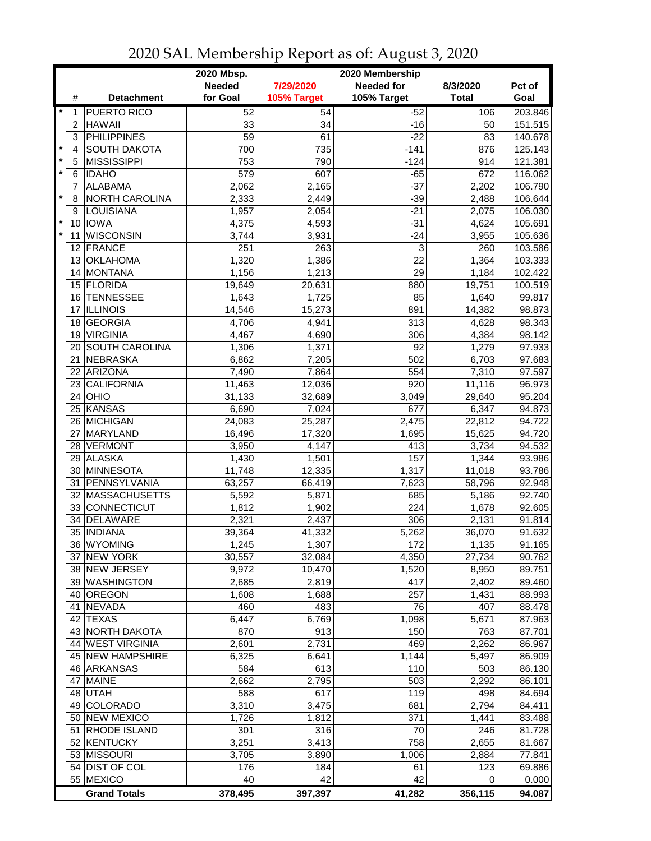|         |    | 2020 Mbsp.<br>2020 Membership |                 |                 |                   |                 |                  |
|---------|----|-------------------------------|-----------------|-----------------|-------------------|-----------------|------------------|
|         |    |                               | <b>Needed</b>   | 7/29/2020       | <b>Needed for</b> | 8/3/2020        | Pct of           |
|         | #  | <b>Detachment</b>             | for Goal        | 105% Target     | 105% Target       | <b>Total</b>    | Goal             |
| $\star$ | 1  | <b>PUERTO RICO</b>            | 52              | $\overline{54}$ | $-52$             | 106             | 203.846          |
|         | 2  | <b>HAWAII</b>                 | 33              | 34              | $-16$             | 50              | 151.515          |
|         | 3  | <b>PHILIPPINES</b>            | 59              | 61              | $-22$             | 83              | 140.678          |
| $\star$ | 4  | <b>SOUTH DAKOTA</b>           | 700             | 735             | $-141$            | 876             | 125.143          |
| $\star$ | 5  | <b>MISSISSIPPI</b>            | 753             | 790             | $-124$            | 914             | 121.381          |
| *       | 6  | <b>IDAHO</b>                  | 579             | 607             | $-65$             | 672             | 116.062          |
|         | 7  | <b>ALABAMA</b>                | 2,062           | 2,165           | $-37$             | 2,202           | 106.790          |
| *       | 8  | NORTH CAROLINA                | 2,333           | 2,449           | $-39$             | 2,488           | 106.644          |
|         | 9  | LOUISIANA                     | 1,957           | 2,054           | $-21$             | 2,075           | 106.030          |
|         |    | 10 IOWA                       | 4,375           | 4,593           | $-31$             | 4,624           | 105.691          |
|         | 11 | <b>WISCONSIN</b>              | 3,744           | 3,931           | $-24$             | 3,955           | 105.636          |
|         |    | 12 FRANCE                     | 251             | 263             | 3                 | 260             | 103.586          |
|         |    | 13 OKLAHOMA                   | 1,320           | 1,386           | $\overline{22}$   | 1,364           | 103.333          |
|         |    | 14 MONTANA                    | 1,156           | 1,213           | 29                | 1,184           | 102.422          |
|         |    | 15 FLORIDA                    | 19,649          | 20,631          | 880               | 19,751          | 100.519          |
|         |    | 16 TENNESSEE                  |                 |                 | 85                |                 |                  |
|         | 17 | <b>ILLINOIS</b>               | 1,643<br>14,546 | 1,725<br>15,273 | 891               | 1,640<br>14,382 | 99.817<br>98.873 |
|         | 18 | GEORGIA                       |                 |                 | 313               |                 |                  |
|         | 19 | <b>VIRGINIA</b>               | 4,706           | 4,941           |                   | 4,628           | 98.343           |
|         |    | <b>SOUTH CAROLINA</b>         | 4,467           | 4,690           | 306               | 4,384           | 98.142           |
|         | 20 |                               | 1,306           | 1,371           | 92                | 1,279           | 97.933           |
|         | 21 | <b>NEBRASKA</b>               | 6,862           | 7,205           | 502               | 6,703           | 97.683           |
|         | 22 | <b>ARIZONA</b>                | 7,490           | 7,864           | 554               | 7,310           | 97.597           |
|         | 23 | <b>CALIFORNIA</b>             | 11,463          | 12,036          | 920               | 11,116          | 96.973           |
|         |    | $24$ OHIO                     | 31,133          | 32,689          | 3,049             | 29,640          | 95.204           |
|         |    | 25 KANSAS                     | 6,690           | 7,024           | 677               | 6,347           | 94.873           |
|         |    | 26 MICHIGAN                   | 24,083          | 25,287          | 2,475             | 22,812          | 94.722           |
|         | 27 | MARYLAND                      | 16,496          | 17,320          | 1,695             | 15,625          | 94.720           |
|         |    | 28 VERMONT                    | 3,950           | 4,147           | 413               | 3,734           | 94.532           |
|         |    | 29 ALASKA                     | 1,430           | 1,501           | 157               | 1,344           | 93.986           |
|         |    | 30 MINNESOTA                  | 11,748          | 12,335          | 1,317             | 11,018          | 93.786           |
|         | 31 | PENNSYLVANIA                  | 63,257          | 66,419          | 7,623             | 58,796          | 92.948           |
|         |    | 32 MASSACHUSETTS              | 5,592           | 5,871           | 685               | 5,186           | 92.740           |
|         |    | 33 CONNECTICUT                | 1,812           | 1,902           | 224               | 1,678           | 92.605           |
|         | 34 | DELAWARE                      | 2,321           | 2,437           | 306               | 2,131           | 91.814           |
|         |    | 35   INDIANA                  | 39,364          | 41,332          | 5,262             | 36,070          | 91.632           |
|         |    | 36 WYOMING                    | 1,245           | 1,307           | 172               | 1,135           | 91.165           |
|         |    | 37 NEW YORK                   | 30,557          | 32,084          | 4,350             | 27,734          | 90.762           |
|         |    | 38 NEW JERSEY                 | 9,972           | 10,470          | 1,520             | 8,950           | 89.751           |
|         |    | 39 WASHINGTON                 | 2,685           | 2,819           | 417               | 2,402           | 89.460           |
|         |    | 40 OREGON                     | 1,608           | 1,688           | 257               | 1,431           | 88.993           |
|         | 41 | NEVADA                        | 460             | 483             | 76                | 407             | 88.478           |
|         |    | 42 TEXAS                      | 6,447           | 6,769           | 1,098             | 5,671           | 87.963           |
|         |    | 43 NORTH DAKOTA               | 870             | 913             | 150               | 763             | 87.701           |
|         |    | 44 WEST VIRGINIA              | 2,601           | 2,731           | 469               | 2,262           | 86.967           |
|         |    | 45 NEW HAMPSHIRE              | 6,325           | 6,641           | 1,144             | 5,497           | 86.909           |
|         |    | 46 ARKANSAS                   | 584             | 613             | 110               | 503             | 86.130           |
|         |    | 47 MAINE                      | 2,662           | 2,795           | 503               | 2,292           | 86.101           |
|         |    | 48 UTAH                       | 588             | 617             | 119               | 498             | 84.694           |
|         |    | 49 COLORADO                   | 3,310           | 3,475           | 681               | 2,794           | 84.411           |
|         |    | 50 NEW MEXICO                 | 1,726           | 1,812           | 371               | 1,441           | 83.488           |
|         |    | 51 RHODE ISLAND               | 301             | 316             | 70                | 246             | 81.728           |
|         |    | 52 KENTUCKY                   | 3,251           | 3,413           | 758               | 2,655           | 81.667           |
|         |    | 53 MISSOURI                   | 3,705           | 3,890           | 1,006             | 2,884           | 77.841           |
|         |    | 54 DIST OF COL                | 176             | 184             | 61                | 123             | 69.886           |
|         |    | 55 MEXICO                     | 40              | 42              | 42                | 0               | 0.000            |
|         |    | <b>Grand Totals</b>           | 378,495         | 397,397         | 41,282            | 356,115         | 94.087           |

## 2020 SAL Membership Report as of: August 3, 2020